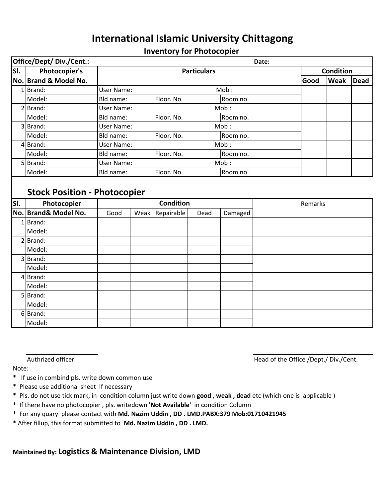## **International Islamic University Chittagong**

## **Inventory for Photocopier**

| Office/Dept/ Div./Cent.:<br>Date:   |                       |                                     |                           |                        |      |          |  |                  |      |             |
|-------------------------------------|-----------------------|-------------------------------------|---------------------------|------------------------|------|----------|--|------------------|------|-------------|
| SI.                                 | <b>Photocopier's</b>  | <b>Particulars</b>                  |                           |                        |      |          |  | <b>Condition</b> |      |             |
|                                     | No. Brand & Model No. |                                     |                           |                        |      |          |  | Good             | Weak | <b>Dead</b> |
|                                     | 1 Brand:              |                                     | Mob:<br><b>User Name:</b> |                        |      |          |  |                  |      |             |
|                                     | Model:                | Bld name:                           | Floor. No.<br>Room no.    |                        |      |          |  |                  |      |             |
|                                     | $2$ Brand:            |                                     | <b>User Name:</b><br>Mob: |                        |      |          |  |                  |      |             |
|                                     | Model:                | Bld name:                           |                           | Floor. No.<br>Room no. |      |          |  |                  |      |             |
|                                     | 3 Brand:              | User Name:                          |                           |                        | Mob: |          |  |                  |      |             |
|                                     | Model:                | Bld name:<br>Floor. No.             |                           |                        |      | Room no. |  |                  |      |             |
|                                     | 4Brand:               | User Name:<br>Mob:                  |                           |                        |      |          |  |                  |      |             |
|                                     | Model:                | Bld name:<br>Floor. No.<br>Room no. |                           |                        |      |          |  |                  |      |             |
|                                     | 5 Brand:              |                                     | <b>User Name:</b><br>Mob: |                        |      |          |  |                  |      |             |
|                                     | Model:                | Bld name:                           |                           | Floor. No.             |      | Room no. |  |                  |      |             |
| <b>Stock Position - Photocopier</b> |                       |                                     |                           |                        |      |          |  |                  |      |             |
| SI.                                 | Photocopier           | <b>Condition</b>                    |                           |                        |      |          |  | Remarks          |      |             |
|                                     | No. Brand& Model No.  | Good                                | Weak                      | Repairable             | Dead | Damaged  |  |                  |      |             |
|                                     | $1$ Brand:            |                                     |                           |                        |      |          |  |                  |      |             |
|                                     | Model:                |                                     |                           |                        |      |          |  |                  |      |             |
|                                     | $2$ Brand:            |                                     |                           |                        |      |          |  |                  |      |             |
|                                     | Model:                |                                     |                           |                        |      |          |  |                  |      |             |
|                                     | 3 Brand:              |                                     |                           |                        |      |          |  |                  |      |             |
|                                     | Model:                |                                     |                           |                        |      |          |  |                  |      |             |

Authrized officer **Authrized of the Office /Dept./ Div./Cent.** 

Note:

4 Brand: Model: 5 Brand: Model: 6 Brand: Model:

- \* If use in combind pls. write down common use
- \* Please use additional sheet if necessary
- \* Pls. do not use tick mark, in condition column just write down **good , weak , dead** etc (which one is applicable )
- \* If there have no photocopier , pls. writedown '**Not Available'** in condition Column
- \* For any quary please contact with **Md. Nazim Uddin , DD . LMD.PABX:379 Mob:01710421945**
- \* After fillup, this format submitted to **Md. Nazim Uddin , DD . LMD.**

**Maintained By: Logistics & Maintenance Division, LMD**